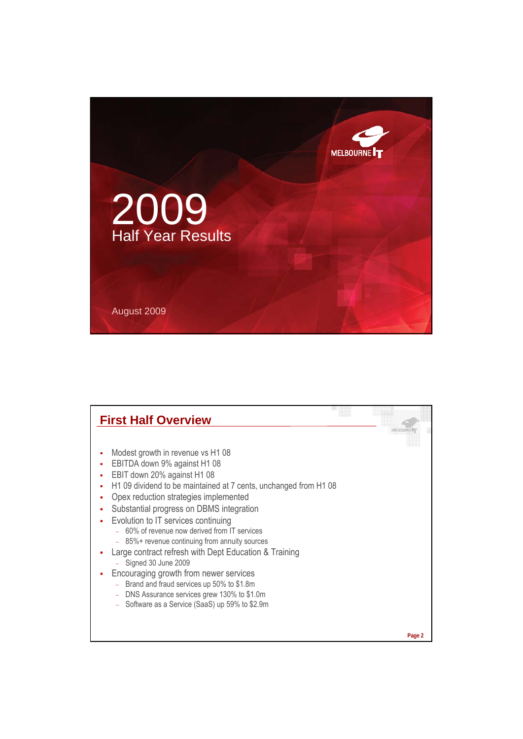

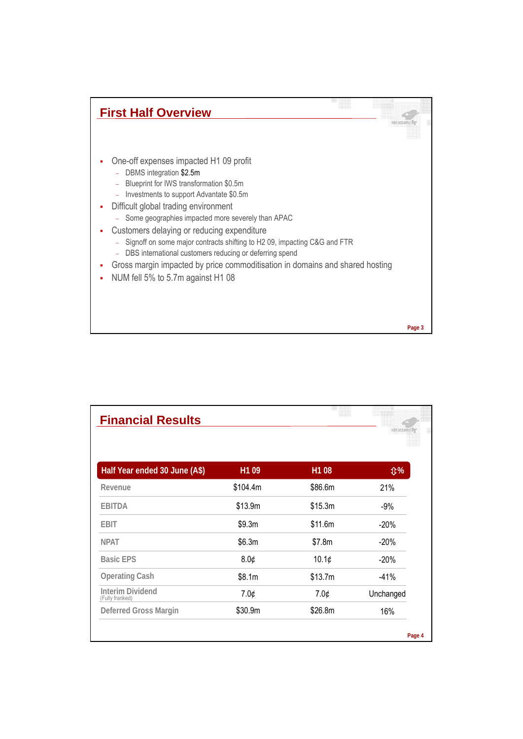

| <b>Financial Results</b>                   |                   | ĦĦ      |            |
|--------------------------------------------|-------------------|---------|------------|
| Half Year ended 30 June (A\$)              | H <sub>1</sub> 09 | H1 08   | <b>\$%</b> |
| Revenue                                    | \$104.4m          | \$86.6m | 21%        |
| <b>EBITDA</b>                              | \$13.9m           | \$15.3m | $-9%$      |
| <b>EBIT</b>                                | \$9.3m            | \$11.6m | $-20%$     |
| <b>NPAT</b>                                | \$6.3m            | \$7.8m  | $-20%$     |
| <b>Basic EPS</b>                           | 8.0¢              | 10.1¢   | $-20%$     |
| <b>Operating Cash</b>                      | \$8.1m            | \$13.7m | $-41%$     |
| <b>Interim Dividend</b><br>(Fully franked) | 7.0¢              | 7.0¢    | Unchanged  |
| Deferred Gross Margin                      | \$30.9m           | \$26.8m | 16%        |
|                                            |                   |         | Page 4     |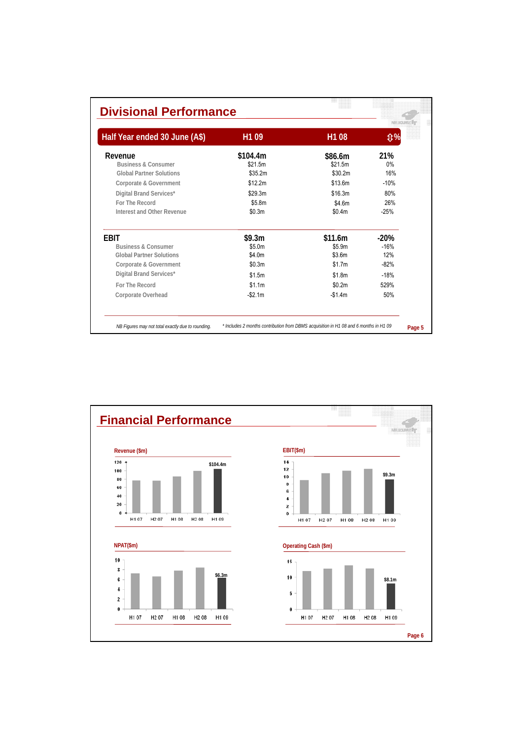| <b>Divisional Performance</b>  |                               |                                   |
|--------------------------------|-------------------------------|-----------------------------------|
| H <sub>1</sub> 09              | H <sub>1</sub> 08             | <b>000</b>                        |
| \$104.4m<br>\$21.5m<br>\$35.2m | \$86.6m<br>\$21.5m<br>\$30.2m | 21%<br>0%<br>16%<br>$-10%$        |
| \$29.3m<br>\$5.8m<br>\$0.3m    | \$16.3m<br>\$4.6m<br>\$0.4m   | 80%<br>26%<br>$-25%$              |
| \$9.3m<br>\$5.0m<br>\$4.0m     | \$11.6m<br>\$5.9m<br>\$3.6m   | $-20%$<br>$-16%$<br>12%<br>$-82%$ |
| \$1.5m<br>\$1.1m<br>$-$2.1m$   | \$1.8m<br>\$0.2m<br>$-$1.4m$  | $-18%$<br>529%<br>50%             |
|                                | \$12.2m<br>\$0.3m             | \$13.6m<br>\$1.7m                 |

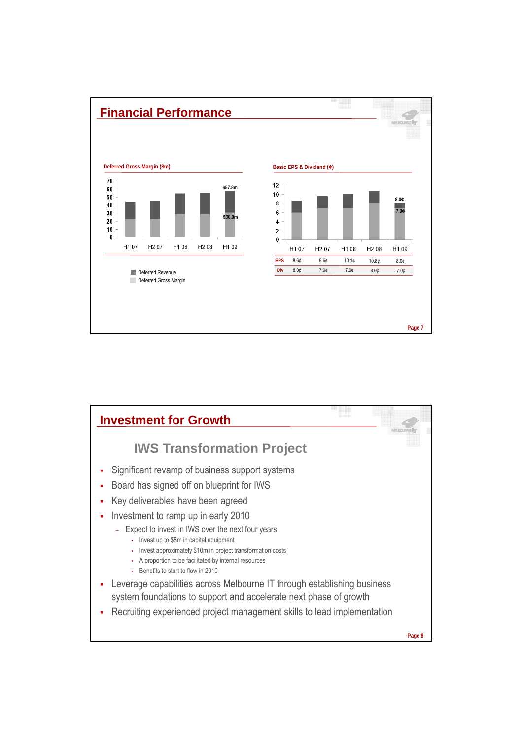

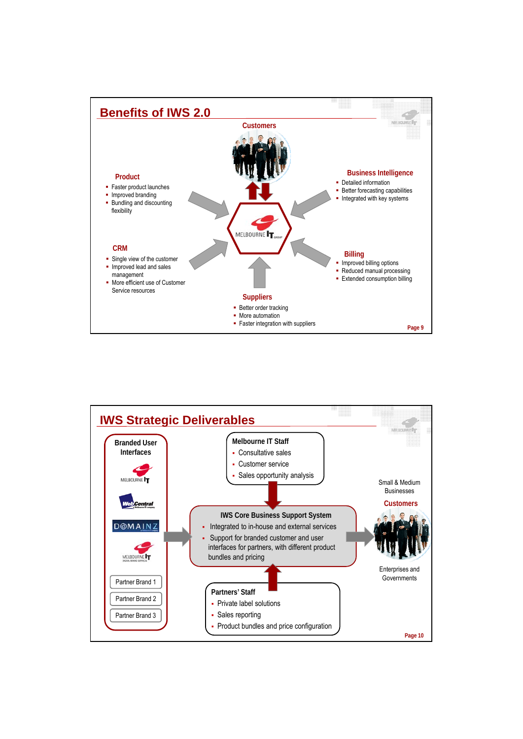

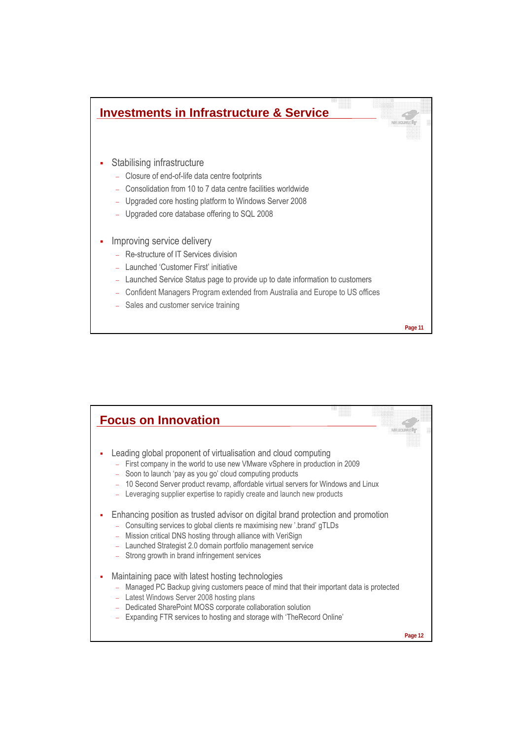

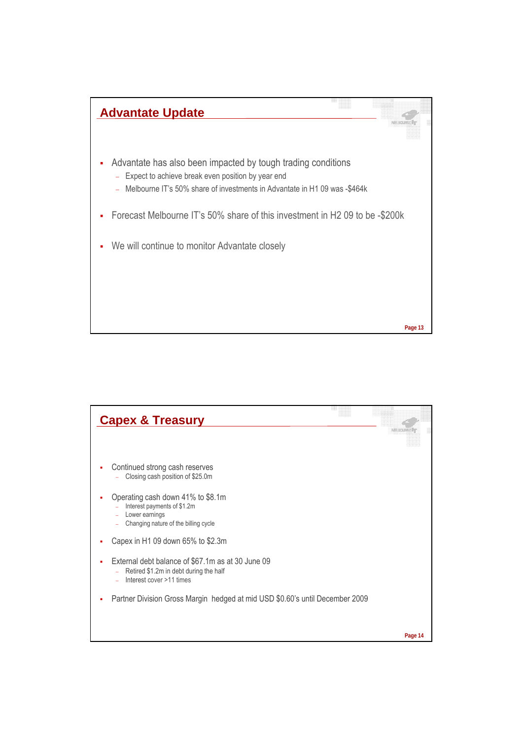

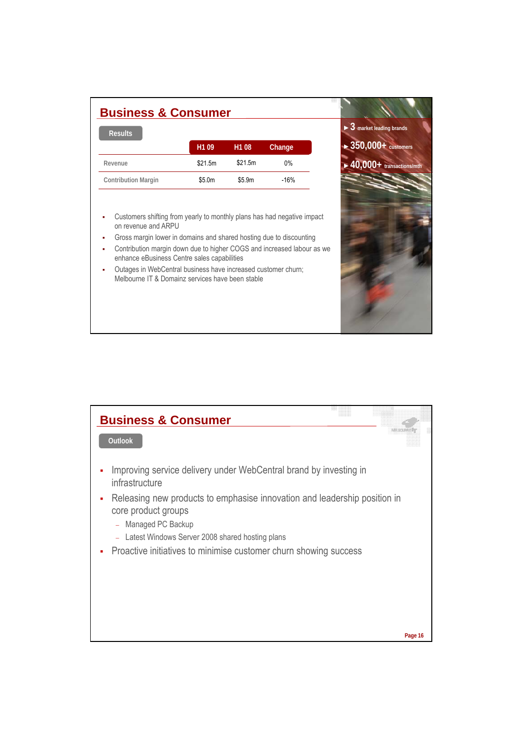| <b>Business &amp; Consumer</b> |                   |                   |        |
|--------------------------------|-------------------|-------------------|--------|
| <b>Results</b>                 |                   |                   |        |
|                                | H <sub>1</sub> 09 | H <sub>1</sub> 08 | Change |
| Revenue                        | \$21.5m           | \$21.5m           | 0%     |
| <b>Contribution Margin</b>     | \$5.0m            | \$5.9m            | $-16%$ |
|                                |                   |                   |        |

►**3 market leading brands**

►**40,000+ transactions/mth Revenue** \$21.5m 0%

►**350,000+ customers**

- Customers shifting from yearly to monthly plans has had negative impact on revenue and ARPU
- Gross margin lower in domains and shared hosting due to discounting
- Contribution margin down due to higher COGS and increased labour as we enhance eBusiness Centre sales capabilities
- Outages in WebCentral business have increased customer churn; Melbourne IT & Domainz services have been stable

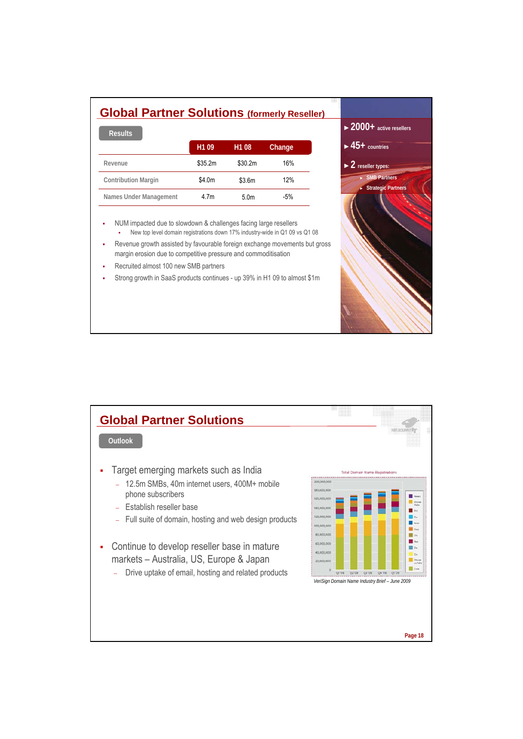| <b>Global Partner Solutions (formerly Reseller)</b><br><b>Results</b> |                   |                   |        |
|-----------------------------------------------------------------------|-------------------|-------------------|--------|
|                                                                       | H <sub>1</sub> 09 | H <sub>1</sub> 08 | Change |
| Revenue                                                               | \$35.2m           | \$30.2m           | 16%    |
| <b>Contribution Margin</b>                                            | \$4.0m            | \$3.6m            | 12%    |
| Names Under Management                                                | 4.7m              | 5.0 <sub>m</sub>  | $-5%$  |
|                                                                       |                   |                   |        |

►**2000+ active resellers**

► SMB Partners

**Page 17**

**Strategi** 

►**45+ countries**

►**2 reseller types:**

 NUM impacted due to slowdown & challenges facing large resellers New top level domain registrations down 17% industry-wide in Q1 09 vs Q1 08

- Revenue growth assisted by favourable foreign exchange movements but gross margin erosion due to competitive pressure and commoditisation
- Recruited almost 100 new SMB partners
- Strong growth in SaaS products continues up 39% in H1 09 to almost \$1m

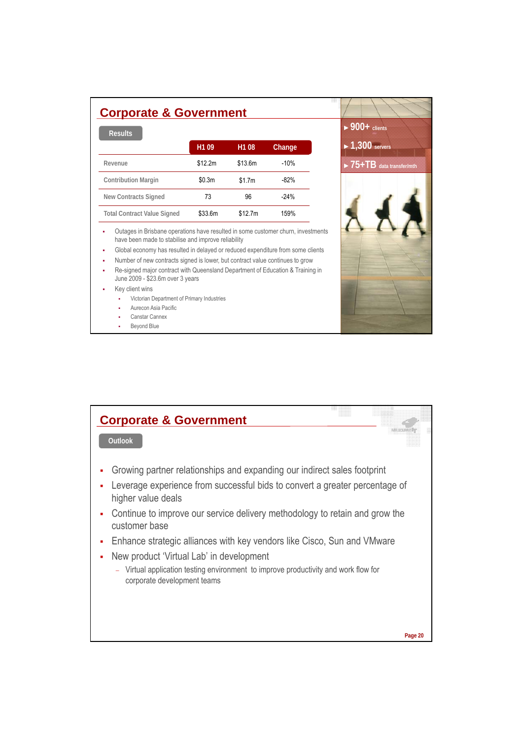| <b>Results</b>                     |                   |                   |        |
|------------------------------------|-------------------|-------------------|--------|
|                                    | H <sub>1</sub> 09 | H <sub>1</sub> 08 | Change |
| Revenue                            | \$12.2m           | \$13.6m           | $-10%$ |
| <b>Contribution Margin</b>         | \$0.3m            | \$1.7m            | $-82%$ |
| New Contracts Signed               | 73                | 96                | $-24%$ |
| <b>Total Contract Value Signed</b> | \$33.6m           | \$12.7m           | 159%   |



Global economy has resulted in delayed or reduced expenditure from some clients

Number of new contracts signed is lower, but contract value continues to grow

 Re-signed major contract with Queensland Department of Education & Training in June 2009 - \$23.6m over 3 years

- Key client wins
	- Victorian Department of Primary Industries
	- Aurecon Asia Pacific
	- Canstar Cannex
	- Beyond Blue

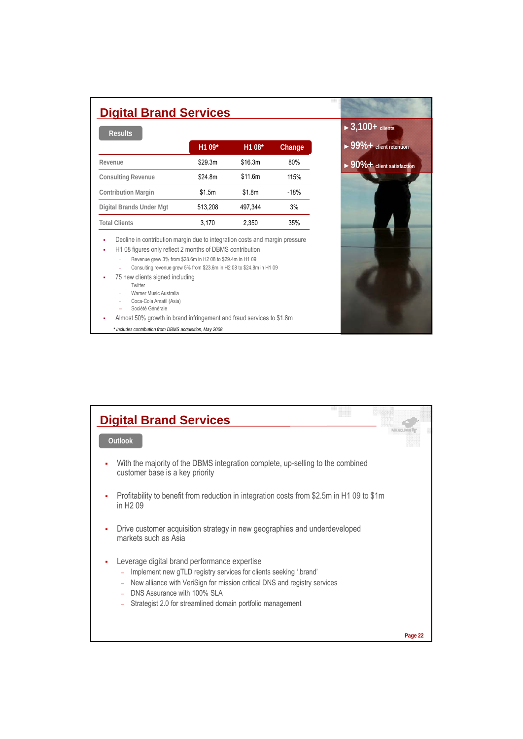| <b>Digital Brand Services</b> |         |         |        |  |
|-------------------------------|---------|---------|--------|--|
| <b>Results</b>                | H1 09*  | H1 08*  | Change |  |
| Revenue                       | \$29.3m | \$16.3m | 80%    |  |
| <b>Consulting Revenue</b>     | \$24.8m | \$11.6m | 115%   |  |
| <b>Contribution Margin</b>    | \$1.5m  | \$1.8m  | $-18%$ |  |
| Digital Brands Under Mgt      | 513.208 | 497.344 | 3%     |  |
| <b>Total Clients</b>          | 3.170   | 2.350   | 35%    |  |

**-** Decline in contribution margin due to integration costs and margin pressure

- H1 08 figures only reflect 2 months of DBMS contribution
	- − Revenue grew 3% from \$28.6m in H2 08 to \$29.4m in H1 09
	- − Consulting revenue grew 5% from \$23.6m in H2 08 to \$24.8m in H1 09
- 75 new clients signed including
	- − Twitter
	- − Warner Music Australia
	- − Coca-Cola Amatil (Asia)
	- − Société Générale
- Almost 50% growth in brand infringement and fraud services to \$1.8m
	- *\* Includes contribution from DBMS acquisition, May 2008*



| <b>Digital Brand Services</b>                                                                                                                                                                                                                                                                    |         |
|--------------------------------------------------------------------------------------------------------------------------------------------------------------------------------------------------------------------------------------------------------------------------------------------------|---------|
| Outlook                                                                                                                                                                                                                                                                                          |         |
| With the majority of the DBMS integration complete, up-selling to the combined<br>customer base is a key priority                                                                                                                                                                                |         |
| Profitability to benefit from reduction in integration costs from \$2.5m in H1 09 to \$1m<br>٠<br>in H <sub>2</sub> 09                                                                                                                                                                           |         |
| Drive customer acquisition strategy in new geographies and underdeveloped<br>markets such as Asia                                                                                                                                                                                                |         |
| Leverage digital brand performance expertise<br>٠<br>Implement new gTLD registry services for clients seeking '.brand'<br>New alliance with VeriSign for mission critical DNS and registry services<br>DNS Assurance with 100% SLA<br>Strategist 2.0 for streamlined domain portfolio management |         |
|                                                                                                                                                                                                                                                                                                  | Page 22 |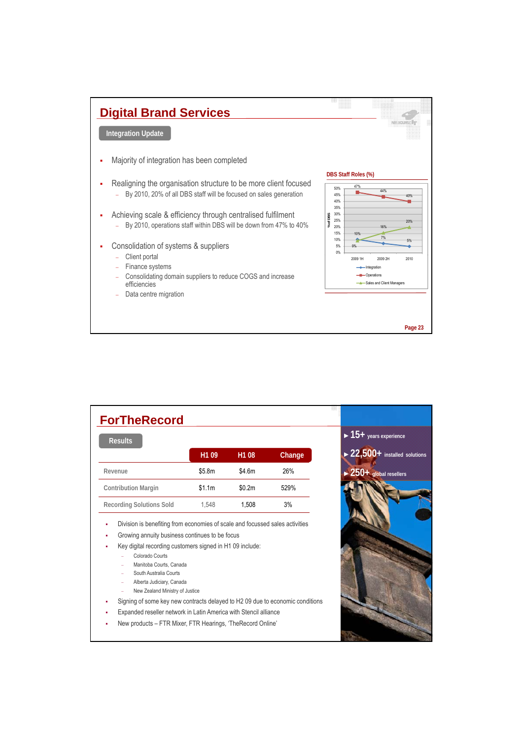

| <b>ForTheRecord</b>                                                                                                                                                                                                                                                                                                                                                                                                                                                             |                   |                   |        |                                              |
|---------------------------------------------------------------------------------------------------------------------------------------------------------------------------------------------------------------------------------------------------------------------------------------------------------------------------------------------------------------------------------------------------------------------------------------------------------------------------------|-------------------|-------------------|--------|----------------------------------------------|
| <b>Results</b>                                                                                                                                                                                                                                                                                                                                                                                                                                                                  |                   |                   |        | $\blacktriangleright$ 15+ years experience   |
|                                                                                                                                                                                                                                                                                                                                                                                                                                                                                 | H <sub>1</sub> 09 | H <sub>1</sub> 08 | Change | $\triangleright$ 22,500+ installed solutions |
| Revenue                                                                                                                                                                                                                                                                                                                                                                                                                                                                         | \$5.8m            | \$4.6m            | 26%    | $\blacktriangleright$ 250+ global resellers  |
| <b>Contribution Margin</b>                                                                                                                                                                                                                                                                                                                                                                                                                                                      | \$1.1m            | \$0.2m            | 529%   |                                              |
| <b>Recording Solutions Sold</b>                                                                                                                                                                                                                                                                                                                                                                                                                                                 | 1.548             | 1.508             | 3%     |                                              |
| Growing annuity business continues to be focus<br>Key digital recording customers signed in H1 09 include:<br>Colorado Courts<br>Manitoba Courts, Canada<br>South Australia Courts<br>Alberta Judiciary, Canada<br>-<br>New Zealand Ministry of Justice<br>Signing of some key new contracts delayed to H2 09 due to economic conditions<br>٠<br>Expanded reseller network in Latin America with Stencil alliance<br>New products - FTR Mixer, FTR Hearings, 'TheRecord Online' |                   |                   |        |                                              |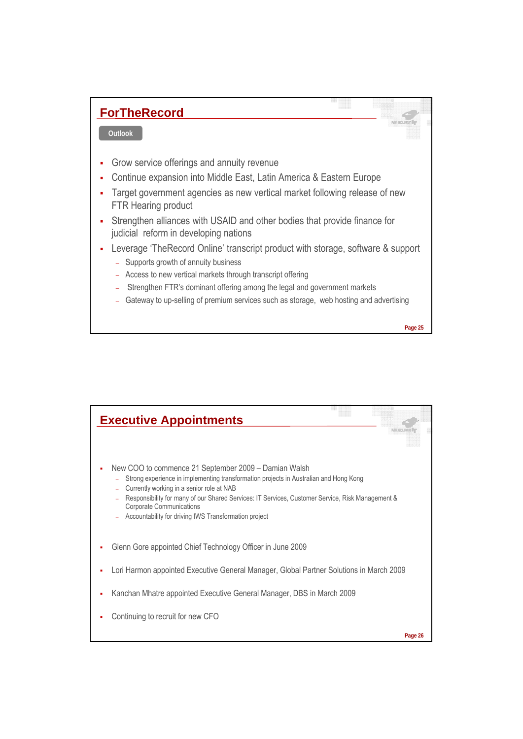